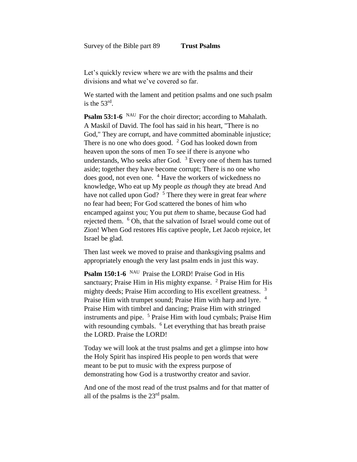Let's quickly review where we are with the psalms and their divisions and what we've covered so far.

We started with the lament and petition psalms and one such psalm is the  $53<sup>rd</sup>$ .

**Psalm 53:1-6** NAU For the choir director; according to Mahalath. A Maskil of David. The fool has said in his heart, "There is no God," They are corrupt, and have committed abominable injustice; There is no one who does good.  $2$  God has looked down from heaven upon the sons of men To see if there is anyone who understands, Who seeks after God. <sup>3</sup> Every one of them has turned aside; together they have become corrupt; There is no one who does good, not even one. <sup>4</sup> Have the workers of wickedness no knowledge, Who eat up My people *as though* they ate bread And have not called upon God? <sup>5</sup> There they were in great fear *where* no fear had been; For God scattered the bones of him who encamped against you; You put *them* to shame, because God had rejected them. <sup>6</sup> Oh, that the salvation of Israel would come out of Zion! When God restores His captive people, Let Jacob rejoice, let Israel be glad.

Then last week we moved to praise and thanksgiving psalms and appropriately enough the very last psalm ends in just this way.

**Psalm 150:1-6** <sup>NAU</sup> Praise the LORD! Praise God in His sanctuary; Praise Him in His mighty expanse. <sup>2</sup> Praise Him for His mighty deeds; Praise Him according to His excellent greatness. <sup>3</sup> Praise Him with trumpet sound; Praise Him with harp and lyre. <sup>4</sup> Praise Him with timbrel and dancing; Praise Him with stringed instruments and pipe. <sup>5</sup> Praise Him with loud cymbals; Praise Him with resounding cymbals. <sup>6</sup> Let everything that has breath praise the LORD. Praise the LORD!

Today we will look at the trust psalms and get a glimpse into how the Holy Spirit has inspired His people to pen words that were meant to be put to music with the express purpose of demonstrating how God is a trustworthy creator and savior.

And one of the most read of the trust psalms and for that matter of all of the psalms is the 23rd psalm.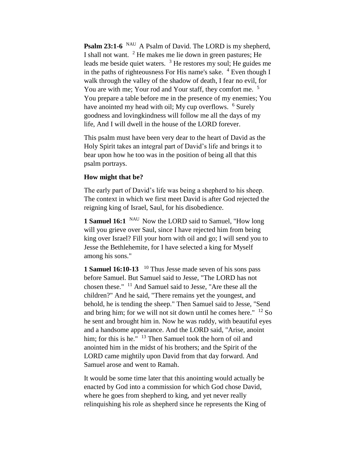**Psalm 23:1-6** <sup>NAU</sup> A Psalm of David. The LORD is my shepherd, I shall not want. <sup>2</sup> He makes me lie down in green pastures; He leads me beside quiet waters. <sup>3</sup> He restores my soul; He guides me in the paths of righteousness For His name's sake.  $4$  Even though I walk through the valley of the shadow of death, I fear no evil, for You are with me; Your rod and Your staff, they comfort me. <sup>5</sup> You prepare a table before me in the presence of my enemies; You have anointed my head with oil; My cup overflows. <sup>6</sup> Surely goodness and lovingkindness will follow me all the days of my life, And I will dwell in the house of the LORD forever.

This psalm must have been very dear to the heart of David as the Holy Spirit takes an integral part of David's life and brings it to bear upon how he too was in the position of being all that this psalm portrays.

## **How might that be?**

The early part of David's life was being a shepherd to his sheep. The context in which we first meet David is after God rejected the reigning king of Israel, Saul, for his disobedience.

**1 Samuel 16:1** Now the LORD said to Samuel, "How long" will you grieve over Saul, since I have rejected him from being king over Israel? Fill your horn with oil and go; I will send you to Jesse the Bethlehemite, for I have selected a king for Myself among his sons."

**1 Samuel 16:10-13** <sup>10</sup> Thus Jesse made seven of his sons pass before Samuel. But Samuel said to Jesse, "The LORD has not chosen these." <sup>11</sup> And Samuel said to Jesse, "Are these all the children?" And he said, "There remains yet the youngest, and behold, he is tending the sheep." Then Samuel said to Jesse, "Send and bring him; for we will not sit down until he comes here."  $^{12}$  So he sent and brought him in. Now he was ruddy, with beautiful eyes and a handsome appearance. And the LORD said, "Arise, anoint him; for this is he." <sup>13</sup> Then Samuel took the horn of oil and anointed him in the midst of his brothers; and the Spirit of the LORD came mightily upon David from that day forward. And Samuel arose and went to Ramah.

It would be some time later that this anointing would actually be enacted by God into a commission for which God chose David, where he goes from shepherd to king, and yet never really relinquishing his role as shepherd since he represents the King of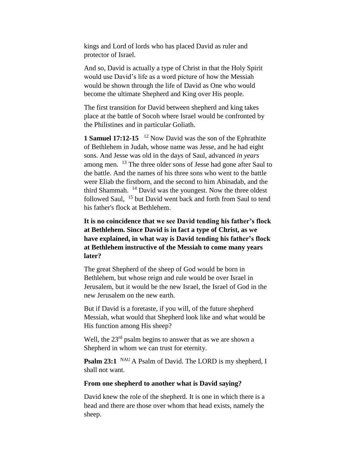kings and Lord of lords who has placed David as ruler and protector of Israel.

And so, David is actually a type of Christ in that the Holy Spirit would use David's life as a word picture of how the Messiah would be shown through the life of David as One who would become the ultimate Shepherd and King over His people.

The first transition for David between shepherd and king takes place at the battle of Socoh where Israel would be confronted by the Philistines and in particular Goliath.

**1 Samuel 17:12-15** <sup>12</sup> Now David was the son of the Ephrathite of Bethlehem in Judah, whose name was Jesse, and he had eight sons. And Jesse was old in the days of Saul, advanced *in years*  among men. <sup>13</sup> The three older sons of Jesse had gone after Saul to the battle. And the names of his three sons who went to the battle were Eliab the firstborn, and the second to him Abinadab, and the third Shammah. <sup>14</sup> David was the youngest. Now the three oldest followed Saul, <sup>15</sup> but David went back and forth from Saul to tend his father's flock at Bethlehem.

**It is no coincidence that we see David tending his father's flock at Bethlehem. Since David is in fact a type of Christ, as we have explained, in what way is David tending his father's flock at Bethlehem instructive of the Messiah to come many years later?**

The great Shepherd of the sheep of God would be born in Bethlehem, but whose reign and rule would be over Israel in Jerusalem, but it would be the new Israel, the Israel of God in the new Jerusalem on the new earth.

But if David is a foretaste, if you will, of the future shepherd Messiah, what would that Shepherd look like and what would be His function among His sheep?

Well, the  $23<sup>rd</sup>$  psalm begins to answer that as we are shown a Shepherd in whom we can trust for eternity.

**Psalm 23:1** <sup>NAU</sup> A Psalm of David. The LORD is my shepherd, I shall not want.

## **From one shepherd to another what is David saying?**

David knew the role of the shepherd. It is one in which there is a head and there are those over whom that head exists, namely the sheep.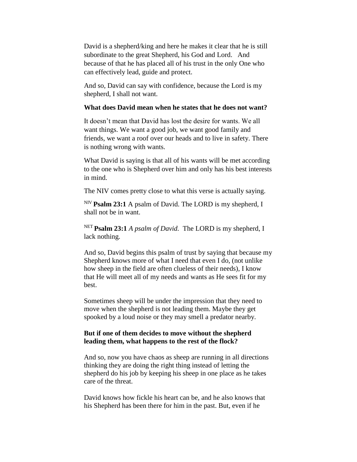David is a shepherd/king and here he makes it clear that he is still subordinate to the great Shepherd, his God and Lord. And because of that he has placed all of his trust in the only One who can effectively lead, guide and protect.

And so, David can say with confidence, because the Lord is my shepherd, I shall not want.

## **What does David mean when he states that he does not want?**

It doesn't mean that David has lost the desire for wants. We all want things. We want a good job, we want good family and friends, we want a roof over our heads and to live in safety. There is nothing wrong with wants.

What David is saying is that all of his wants will be met according to the one who is Shepherd over him and only has his best interests in mind.

The NIV comes pretty close to what this verse is actually saying.

NIV **Psalm 23:1** A psalm of David. The LORD is my shepherd, I shall not be in want.

NET **Psalm 23:1** *A psalm of David.* The LORD is my shepherd, I lack nothing.

And so, David begins this psalm of trust by saying that because my Shepherd knows more of what I need that even I do, (not unlike how sheep in the field are often clueless of their needs), I know that He will meet all of my needs and wants as He sees fit for my best.

Sometimes sheep will be under the impression that they need to move when the shepherd is not leading them. Maybe they get spooked by a loud noise or they may smell a predator nearby.

## **But if one of them decides to move without the shepherd leading them, what happens to the rest of the flock?**

And so, now you have chaos as sheep are running in all directions thinking they are doing the right thing instead of letting the shepherd do his job by keeping his sheep in one place as he takes care of the threat.

David knows how fickle his heart can be, and he also knows that his Shepherd has been there for him in the past. But, even if he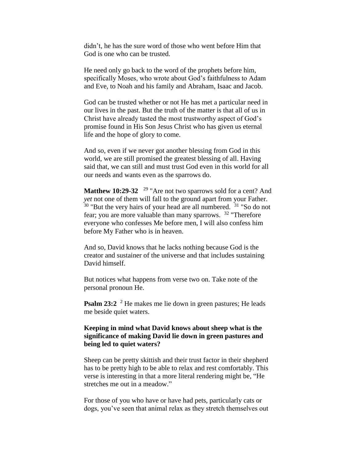didn't, he has the sure word of those who went before Him that God is one who can be trusted.

He need only go back to the word of the prophets before him, specifically Moses, who wrote about God's faithfulness to Adam and Eve, to Noah and his family and Abraham, Isaac and Jacob.

God can be trusted whether or not He has met a particular need in our lives in the past. But the truth of the matter is that all of us in Christ have already tasted the most trustworthy aspect of God's promise found in His Son Jesus Christ who has given us eternal life and the hope of glory to come.

And so, even if we never got another blessing from God in this world, we are still promised the greatest blessing of all. Having said that, we can still and must trust God even in this world for all our needs and wants even as the sparrows do.

**Matthew 10:29-32** <sup>29</sup> "Are not two sparrows sold for a cent? And *yet* not one of them will fall to the ground apart from your Father.  $30$  "But the very hairs of your head are all numbered.  $31$  "So do not fear; you are more valuable than many sparrows. <sup>32</sup> "Therefore everyone who confesses Me before men, I will also confess him before My Father who is in heaven.

And so, David knows that he lacks nothing because God is the creator and sustainer of the universe and that includes sustaining David himself.

But notices what happens from verse two on. Take note of the personal pronoun He.

**Psalm 23:2** <sup>2</sup> He makes me lie down in green pastures; He leads me beside quiet waters.

# **Keeping in mind what David knows about sheep what is the significance of making David lie down in green pastures and being led to quiet waters?**

Sheep can be pretty skittish and their trust factor in their shepherd has to be pretty high to be able to relax and rest comfortably. This verse is interesting in that a more literal rendering might be, "He stretches me out in a meadow."

For those of you who have or have had pets, particularly cats or dogs, you've seen that animal relax as they stretch themselves out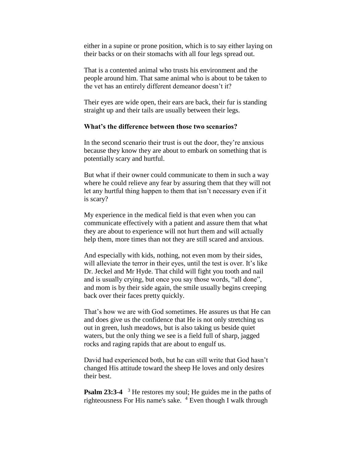either in a supine or prone position, which is to say either laying on their backs or on their stomachs with all four legs spread out.

That is a contented animal who trusts his environment and the people around him. That same animal who is about to be taken to the vet has an entirely different demeanor doesn't it?

Their eyes are wide open, their ears are back, their fur is standing straight up and their tails are usually between their legs.

### **What's the difference between those two scenarios?**

In the second scenario their trust is out the door, they're anxious because they know they are about to embark on something that is potentially scary and hurtful.

But what if their owner could communicate to them in such a way where he could relieve any fear by assuring them that they will not let any hurtful thing happen to them that isn't necessary even if it is scary?

My experience in the medical field is that even when you can communicate effectively with a patient and assure them that what they are about to experience will not hurt them and will actually help them, more times than not they are still scared and anxious.

And especially with kids, nothing, not even mom by their sides, will alleviate the terror in their eyes, until the test is over. It's like Dr. Jeckel and Mr Hyde. That child will fight you tooth and nail and is usually crying, but once you say those words, "all done", and mom is by their side again, the smile usually begins creeping back over their faces pretty quickly.

That's how we are with God sometimes. He assures us that He can and does give us the confidence that He is not only stretching us out in green, lush meadows, but is also taking us beside quiet waters, but the only thing we see is a field full of sharp, jagged rocks and raging rapids that are about to engulf us.

David had experienced both, but he can still write that God hasn't changed His attitude toward the sheep He loves and only desires their best.

**Psalm 23:3-4** <sup>3</sup> He restores my soul; He guides me in the paths of righteousness For His name's sake. <sup>4</sup> Even though I walk through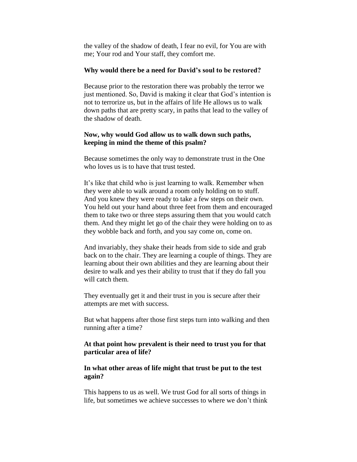the valley of the shadow of death, I fear no evil, for You are with me; Your rod and Your staff, they comfort me.

#### **Why would there be a need for David's soul to be restored?**

Because prior to the restoration there was probably the terror we just mentioned. So, David is making it clear that God's intention is not to terrorize us, but in the affairs of life He allows us to walk down paths that are pretty scary, in paths that lead to the valley of the shadow of death.

# **Now, why would God allow us to walk down such paths, keeping in mind the theme of this psalm?**

Because sometimes the only way to demonstrate trust in the One who loves us is to have that trust tested.

It's like that child who is just learning to walk. Remember when they were able to walk around a room only holding on to stuff. And you knew they were ready to take a few steps on their own. You held out your hand about three feet from them and encouraged them to take two or three steps assuring them that you would catch them. And they might let go of the chair they were holding on to as they wobble back and forth, and you say come on, come on.

And invariably, they shake their heads from side to side and grab back on to the chair. They are learning a couple of things. They are learning about their own abilities and they are learning about their desire to walk and yes their ability to trust that if they do fall you will catch them.

They eventually get it and their trust in you is secure after their attempts are met with success.

But what happens after those first steps turn into walking and then running after a time?

## **At that point how prevalent is their need to trust you for that particular area of life?**

## **In what other areas of life might that trust be put to the test again?**

This happens to us as well. We trust God for all sorts of things in life, but sometimes we achieve successes to where we don't think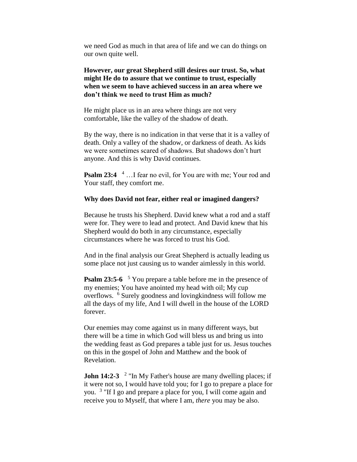we need God as much in that area of life and we can do things on our own quite well.

**However, our great Shepherd still desires our trust. So, what might He do to assure that we continue to trust, especially when we seem to have achieved success in an area where we don't think we need to trust Him as much?**

He might place us in an area where things are not very comfortable, like the valley of the shadow of death.

By the way, there is no indication in that verse that it is a valley of death. Only a valley of the shadow, or darkness of death. As kids we were sometimes scared of shadows. But shadows don't hurt anyone. And this is why David continues.

**Psalm 23:4** <sup>4</sup> ... I fear no evil, for You are with me; Your rod and Your staff, they comfort me.

## **Why does David not fear, either real or imagined dangers?**

Because he trusts his Shepherd. David knew what a rod and a staff were for. They were to lead and protect. And David knew that his Shepherd would do both in any circumstance, especially circumstances where he was forced to trust his God.

And in the final analysis our Great Shepherd is actually leading us some place not just causing us to wander aimlessly in this world.

**Psalm 23:5-6** <sup>5</sup> You prepare a table before me in the presence of my enemies; You have anointed my head with oil; My cup overflows. <sup>6</sup> Surely goodness and lovingkindness will follow me all the days of my life, And I will dwell in the house of the LORD forever.

Our enemies may come against us in many different ways, but there will be a time in which God will bless us and bring us into the wedding feast as God prepares a table just for us. Jesus touches on this in the gospel of John and Matthew and the book of Revelation.

**John 14:2-3** <sup>2</sup> "In My Father's house are many dwelling places; if it were not so, I would have told you; for I go to prepare a place for you. <sup>3</sup> "If I go and prepare a place for you, I will come again and receive you to Myself, that where I am, *there* you may be also.